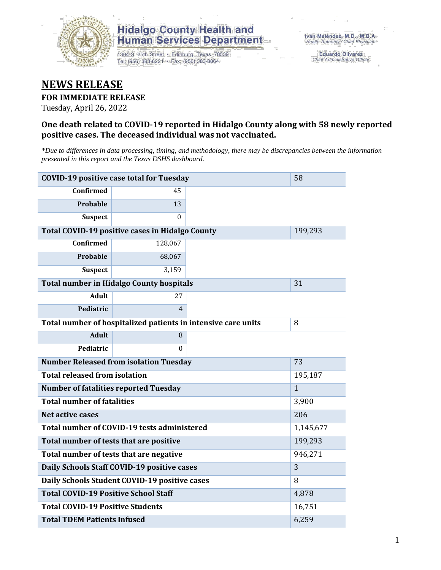

# **Hidalgo County Health and Human Services Department**

1304 S. 25th Street · Edinburg, Texas 78539 Tel: (956) 383-6221 · Fax: (956) 383-8864

**Eduardo Olivarez** Chief Administrative Officer

# **NEWS RELEASE**

### **FOR IMMEDIATE RELEASE**

Tuesday, April 26, 2022

### **One death related to COVID-19 reported in Hidalgo County along with 58 newly reported positive cases. The deceased individual was not vaccinated.**

*\*Due to differences in data processing, timing, and methodology, there may be discrepancies between the information presented in this report and the Texas DSHS dashboard.*

| <b>COVID-19 positive case total for Tuesday</b>               | 58                                              |              |         |
|---------------------------------------------------------------|-------------------------------------------------|--------------|---------|
| <b>Confirmed</b>                                              | 45                                              |              |         |
| Probable                                                      | 13                                              |              |         |
| <b>Suspect</b>                                                | $\Omega$                                        |              |         |
|                                                               | Total COVID-19 positive cases in Hidalgo County |              | 199,293 |
| <b>Confirmed</b>                                              | 128,067                                         |              |         |
| <b>Probable</b>                                               | 68,067                                          |              |         |
| <b>Suspect</b>                                                | 3,159                                           |              |         |
| <b>Total number in Hidalgo County hospitals</b>               |                                                 | 31           |         |
| <b>Adult</b>                                                  | 27                                              |              |         |
| Pediatric                                                     | $\overline{4}$                                  |              |         |
| Total number of hospitalized patients in intensive care units | 8                                               |              |         |
| <b>Adult</b>                                                  | 8                                               |              |         |
| Pediatric                                                     | $\Omega$                                        |              |         |
| <b>Number Released from isolation Tuesday</b>                 |                                                 | 73           |         |
| <b>Total released from isolation</b>                          |                                                 | 195,187      |         |
| <b>Number of fatalities reported Tuesday</b>                  |                                                 | $\mathbf{1}$ |         |
| <b>Total number of fatalities</b>                             | 3,900                                           |              |         |
| Net active cases                                              |                                                 |              | 206     |
| Total number of COVID-19 tests administered                   | 1,145,677                                       |              |         |
| Total number of tests that are positive                       | 199,293                                         |              |         |
| Total number of tests that are negative                       | 946,271                                         |              |         |
| Daily Schools Staff COVID-19 positive cases                   | 3                                               |              |         |
| Daily Schools Student COVID-19 positive cases                 | 8                                               |              |         |
| <b>Total COVID-19 Positive School Staff</b>                   | 4,878                                           |              |         |
| <b>Total COVID-19 Positive Students</b>                       | 16,751                                          |              |         |
| <b>Total TDEM Patients Infused</b>                            | 6,259                                           |              |         |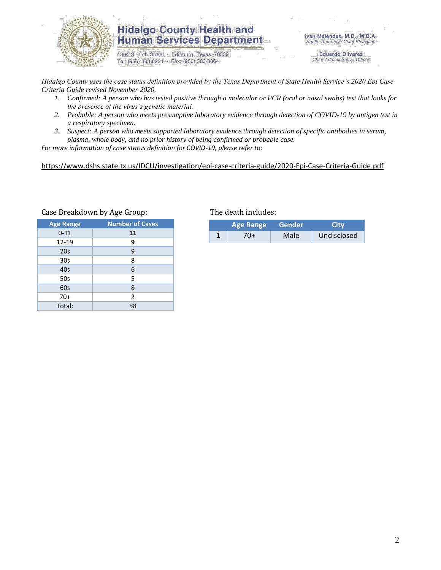

# **Hidalgo County Health and Human Services Department**

1304 S. 25th Street · Edinburg, Texas 78539 Tel: (956) 383-6221 · Fax: (956) 383-8864

Iván Meléndez, M.D., M.B.A. Health Authority / Chief Physician

> **Eduardo Olivarez** Chief Administrative Officer

*Hidalgo County uses the case status definition provided by the Texas Department of State Health Service's 2020 Epi Case Criteria Guide revised November 2020.*

- *1. Confirmed: A person who has tested positive through a molecular or PCR (oral or nasal swabs) test that looks for the presence of the virus's genetic material.*
- *2. Probable: A person who meets presumptive laboratory evidence through detection of COVID-19 by antigen test in a respiratory specimen.*
- *3. Suspect: A person who meets supported laboratory evidence through detection of specific antibodies in serum, plasma, whole body, and no prior history of being confirmed or probable case.*

*For more information of case status definition for COVID-19, please refer to:*

<https://www.dshs.state.tx.us/IDCU/investigation/epi-case-criteria-guide/2020-Epi-Case-Criteria-Guide.pdf>

| <b>Age Range</b> | <b>Number of Cases</b> |  |  |
|------------------|------------------------|--|--|
| $0 - 11$         | 11                     |  |  |
| 12-19            | 9                      |  |  |
| 20 <sub>s</sub>  | 9                      |  |  |
| 30 <sub>s</sub>  | 8                      |  |  |
| 40s              | 6                      |  |  |
| 50s              | 5                      |  |  |
| 60s              | 8                      |  |  |
| $70+$            | 2                      |  |  |
| Total:           | 58                     |  |  |

#### Case Breakdown by Age Group: The death includes:

| <b>Age Range</b> |     | Gender | City        |  |
|------------------|-----|--------|-------------|--|
|                  | 70+ | Male   | Undisclosed |  |